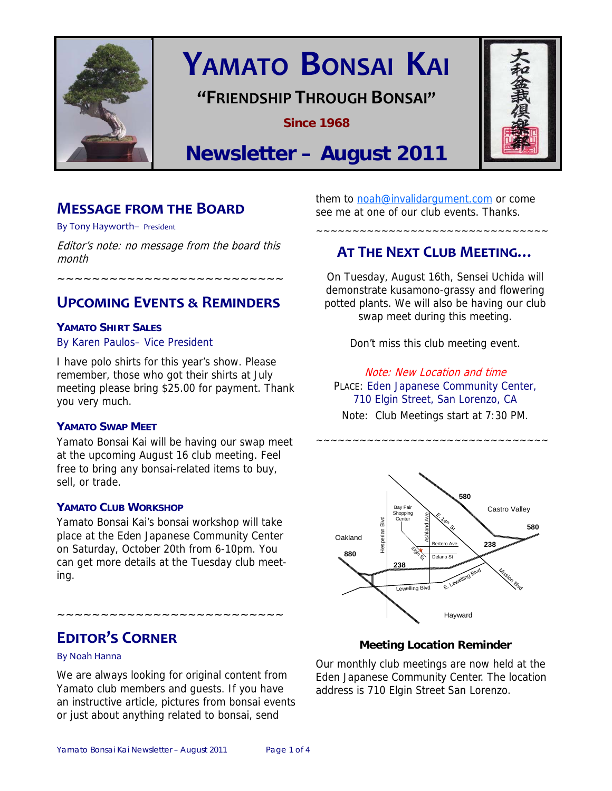

# **YAMATO BONSAI KAI**

# **"FRIENDSHIP THROUGH BONSAI"**

**Since 1968** 



# **Newsletter – August 2011**

# **MESSAGE FROM THE BOARD**

By Tony Hayworth– President

Editor's note: no message from the board this month

. ~~~~~~~~~~~~~~~~~~~~~~~

# **UPCOMING EVENTS ƭ REMINDERS**

### **YAMATO SHIRT SALES**

### By Karen Paulos– Vice President

I have polo shirts for this year's show. Please remember, those who got their shirts at July meeting please bring \$25.00 for payment. Thank you very much.

### **YAMATO SWAP MEET**

Yamato Bonsai Kai will be having our swap meet at the upcoming August 16 club meeting. Feel free to bring any bonsai-related items to buy, sell, or trade.

### **YAMATO CLUB WORKSHOP**

Yamato Bonsai Kai's bonsai workshop will take place at the Eden Japanese Community Center on Saturday, October 20th from 6-10pm. You can get more details at the Tuesday club meeting.

# **EDITOR'S CORNER**

### By Noah Hanna

We are always looking for original content from Yamato club members and guests. If you have an instructive article, pictures from bonsai events or just about anything related to bonsai, send

~~~~~~~~~~~~~~~~~~~~~~~~~~

them to noah@invalidargument.com or come see me at one of our club events. Thanks.

# **AT THE NEXT CLUB MEETING…**

~~~~~~~~~~~~~~~~~~~~~~~~~~~~~~~~

On Tuesday, August 16th, Sensei Uchida will demonstrate kusamono-grassy and flowering potted plants. We will also be having our club swap meet during this meeting.

Don't miss this club meeting event.

Note: New Location and time PLACE: Eden Japanese Community Center, 710 Elgin Street, San Lorenzo, CA Note: Club Meetings start at 7:30 PM.

~~~~~~~~~~~~~~~~~~~~~~~~~~~~~~~~



### **Meeting Location Reminder**

Our monthly club meetings are now held at the Eden Japanese Community Center. The location address is 710 Elgin Street San Lorenzo.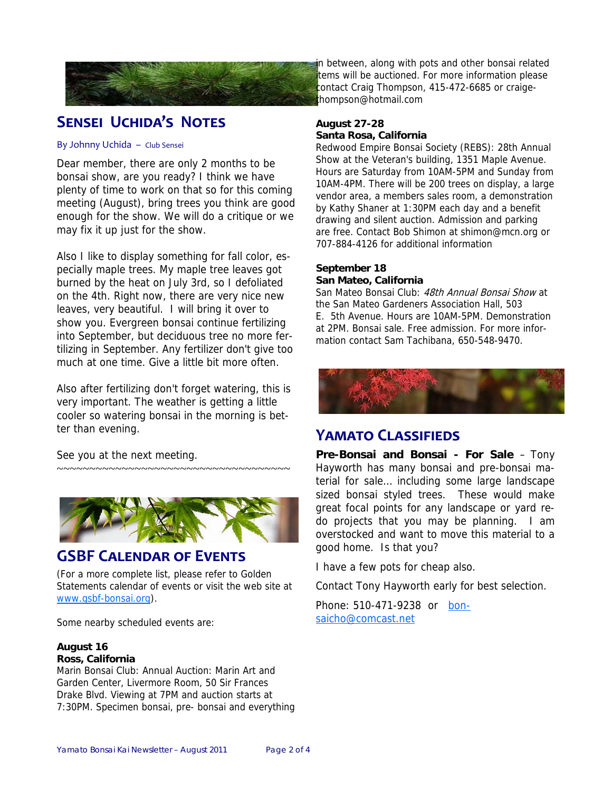

# **SENSEI UCHIDA'S NOTES**

#### By Johnny Uchida – Club Sensei

Dear member, there are only 2 months to be bonsai show, are you ready? I think we have plenty of time to work on that so for this coming meeting (August), bring trees you think are good enough for the show. We will do a critique or we may fix it up just for the show.

Also I like to display something for fall color, especially maple trees. My maple tree leaves got burned by the heat on July 3rd, so I defoliated on the 4th. Right now, there are very nice new leaves, very beautiful. I will bring it over to show you. Evergreen bonsai continue fertilizing into September, but deciduous tree no more fertilizing in September. Any fertilizer don't give too much at one time. Give a little bit more often.

Also after fertilizing don't forget watering, this is very important. The weather is getting a little cooler so watering bonsai in the morning is better than evening.

See you at the next meeting.



~~~~~~~~~~~~~~~~~~~~~~~~~~~~~~~~~~~~

# **GSBF CALENDAR OF EVENTS**

(For a more complete list, please refer to Golden Statements calendar of events or visit the web site at www.gsbf-bonsai.org).

Some nearby scheduled events are:

#### **August 16 Ross, California**

Marin Bonsai Club: Annual Auction: Marin Art and Garden Center, Livermore Room, 50 Sir Frances Drake Blvd. Viewing at 7PM and auction starts at 7:30PM. Specimen bonsai, pre- bonsai and everything

n between, along with pots and other bonsai related tems will be auctioned. For more information please contact Craig Thompson, 415-472-6685 or craigethompson@hotmail.com

### **August 27-28 Santa Rosa, California**

Redwood Empire Bonsai Society (REBS): 28th Annual Show at the Veteran's building, 1351 Maple Avenue. Hours are Saturday from 10AM-5PM and Sunday from 10AM-4PM. There will be 200 trees on display, a large vendor area, a members sales room, a demonstration by Kathy Shaner at 1:30PM each day and a benefit drawing and silent auction. Admission and parking are free. Contact Bob Shimon at shimon@mcn.org or 707-884-4126 for additional information

### **September 18 San Mateo, California**

San Mateo Bonsai Club: 48th Annual Bonsai Show at the San Mateo Gardeners Association Hall, 503 E. 5th Avenue. Hours are 10AM-5PM. Demonstration at 2PM. Bonsai sale. Free admission. For more information contact Sam Tachibana, 650-548-9470.



### **YAMATO CLASSIFIEDS**

**Pre-Bonsai and Bonsai - For Sale** – Tony Hayworth has many bonsai and pre-bonsai material for sale… including some large landscape sized bonsai styled trees. These would make great focal points for any landscape or yard redo projects that you may be planning. I am overstocked and want to move this material to a good home. Is that you?

I have a few pots for cheap also.

Contact Tony Hayworth early for best selection.

Phone: 510-471-9238 or bonsaicho@comcast.net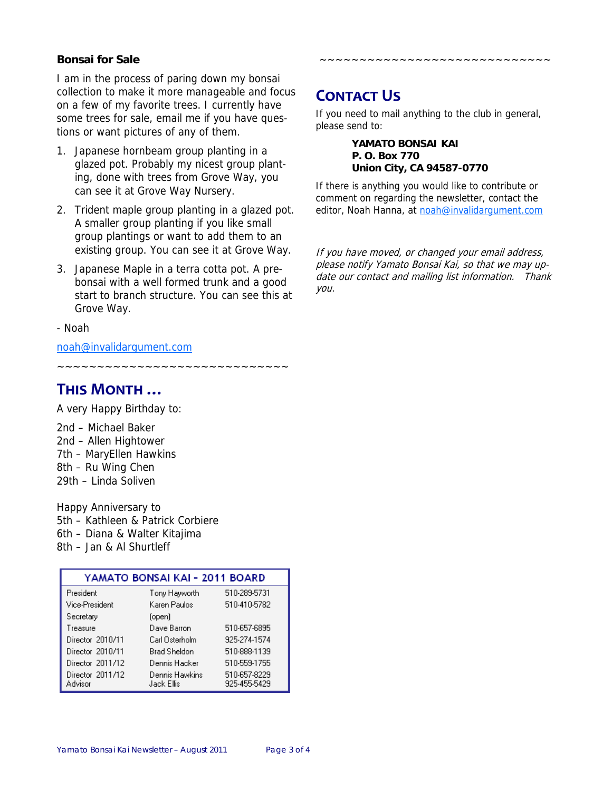### **Bonsai for Sale**

I am in the process of paring down my bonsai collection to make it more manageable and focus on a few of my favorite trees. I currently have some trees for sale, email me if you have questions or want pictures of any of them.

- 1. Japanese hornbeam group planting in a glazed pot. Probably my nicest group planting, done with trees from Grove Way, you can see it at Grove Way Nursery.
- 2. Trident maple group planting in a glazed pot. A smaller group planting if you like small group plantings or want to add them to an existing group. You can see it at Grove Way.
- 3. Japanese Maple in a terra cotta pot. A prebonsai with a well formed trunk and a good start to branch structure. You can see this at Grove Way.
- Noah

noah@invalidargument.com

~~~~~~~~~~~~~~~~~

# **THIS MONTH …**

A very Happy Birthday to:

2nd – Michael Baker 2nd – Allen Hightower 7th – MaryEllen Hawkins 8th – Ru Wing Chen 29th – Linda Soliven

Happy Anniversary to 5th – Kathleen & Patrick Corbiere 6th – Diana & Walter Kitajima 8th – Jan & Al Shurtleff

| YAMATO BONSAI KAI - 2011 BOARD |                              |                              |
|--------------------------------|------------------------------|------------------------------|
| President                      | Tony Hayworth                | 510-289-5731                 |
| Vice-President                 | Karen Paulos                 | 510-410-5782                 |
| Secretary                      | (open)                       |                              |
| Treasure                       | Dave Barron                  | 510-657-6895                 |
| Director 2010/11               | Carl Osterholm               | 925-274-1574                 |
| Director 2010/11               | Brad Sheldon                 | 510-888-1139                 |
| Director 2011/12               | Dennis Hacker                | 510-559-1755                 |
| Director 2011/12<br>Advisor    | Dennis Hawkins<br>Jack Ellis | 510-657-8229<br>925-455-5429 |

# **CONTACT US**

If you need to mail anything to the club in general, please send to:

~~~~~~~~~~~~~~~~~~~~~~~~~~~~~

#### **YAMATO BONSAI KAI P. O. Box 770 Union City, CA 94587-0770**

If there is anything you would like to contribute or comment on regarding the newsletter, contact the editor, Noah Hanna, at noah@invalidargument.com

If you have moved, or changed your email address, please notify Yamato Bonsai Kai, so that we may update our contact and mailing list information. Thank you.